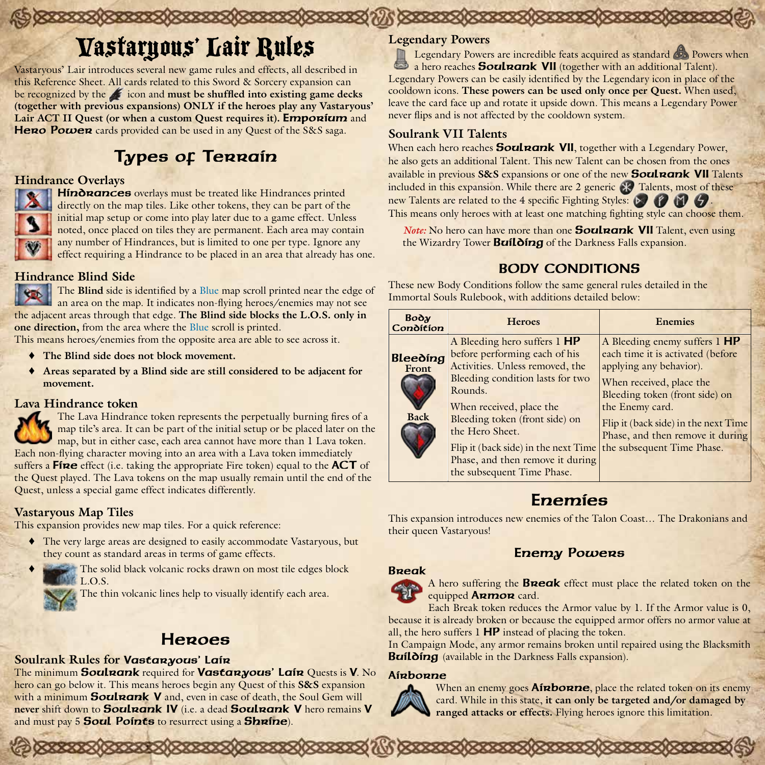# Vastaryous' Lair Rules

Vastaryous' Lair introduces several new game rules and effects, all described in this Reference Sheet. All cards related to this Sword & Sorcery expansion can be recognized by the **i**con and **must be shuffled into existing game decks (together with previous expansions) ONLY if the heroes play any Vastaryous' Lair ACT II Quest (or when a custom Quest requires it). Emporium** and Hero Power cards provided can be used in any Quest of the S&S saga.

## Types of Terrain

### **Hindrance Overlays**

Hindrances overlays must be treated like Hindrances printed directly on the map tiles. Like other tokens, they can be part of the initial map setup or come into play later due to a game effect. Unless noted, once placed on tiles they are permanent. Each area may contain any number of Hindrances, but is limited to one per type. Ignore any effect requiring a Hindrance to be placed in an area that already has one.

### **Hindrance Blind Side**

The **Blind** side is identified by a Blue map scroll printed near the edge of an area on the map. It indicates non-flying heroes/enemies may not see the adjacent areas through that edge. **The Blind side blocks the L.O.S. only in one direction,** from the area where the Blue scroll is printed.

This means heroes/enemies from the opposite area are able to see across it.

- The Blind side does not block movement.
- ♦ **Areas separated by a Blind side are still considered to be adjacent for movement.**

#### **Lava Hindrance token**

The Lava Hindrance token represents the perpetually burning fires of a map tile's area. It can be part of the initial setup or be placed later on the map, but in either case, each area cannot have more than 1 Lava token. Each non-flying character moving into an area with a Lava token immediately suffers a  $F$ ine effect (i.e. taking the appropriate Fire token) equal to the  $ACT$  of the Quest played. The Lava tokens on the map usually remain until the end of the Quest, unless a special game effect indicates differently.

#### **Vastaryous Map Tiles**

This expansion provides new map tiles. For a quick reference:

- ♦ The very large areas are designed to easily accommodate Vastaryous, but they count as standard areas in terms of game effects.
	- ♦ The solid black volcanic rocks drawn on most tile edges block L.O.S.

The thin volcanic lines help to visually identify each area.

### Heroes

### **Soulrank Rules for** Vastaryous' Lair

The minimum **Soulrank** required for **Vastaryous' Lair** Quests is **V**. No hero can go below it. This means heroes begin any Quest of this **S&S** expansion with a minimum **Soulnank V** and, even in case of death, the Soul Gem will never shift down to **Soulnank IV** (i.e. a dead **Soulnank V** hero remains V and must pay 5 **Soul Points** to resurrect using a **Shrine**).

### **Legendary Powers**

Legendary Powers are incredible feats acquired as standard **Powers when**  $\mathbf{r}$ a hero reaches **Soulnank VII** (together with an additional Talent). Legendary Powers can be easily identified by the Legendary icon in place of the cooldown icons. **These powers can be used only once per Quest.** When used, leave the card face up and rotate it upside down. This means a Legendary Power never flips and is not affected by the cooldown system.

### **Soulrank VII Talents**

When each hero reaches **Soul nank VII**, together with a Legendary Power, he also gets an additional Talent. This new Talent can be chosen from the ones available in previous **S&S** expansions or one of the new Soulrank VII Talents included in this expansion. While there are 2 generic  $\mathbb R$  Talents, most of these new Talents are related to the 4 specific Fighting Styles:  $\bigcirc$   $\bigcirc$   $\bigcirc$   $\bigcirc$ This means only heroes with at least one matching fighting style can choose them.

*Note:* No hero can have more than one **Soulrank VII** Talent, even using the Wizardry Tower **Building** of the Darkness Falls expansion.

### BODY CONDITIONS

These new Body Conditions follow the same general rules detailed in the Immortal Souls Rulebook, with additions detailed below:

| Воду<br>Condition                | <b>Heroes</b>                                                                                                                                                                                                                                                                                                                                                              | <b>Enemies</b>                                                                                                                                                                                                                                             |
|----------------------------------|----------------------------------------------------------------------------------------------------------------------------------------------------------------------------------------------------------------------------------------------------------------------------------------------------------------------------------------------------------------------------|------------------------------------------------------------------------------------------------------------------------------------------------------------------------------------------------------------------------------------------------------------|
| Bleeding<br>Front<br><b>Back</b> | A Bleeding hero suffers 1 HP<br>before performing each of his<br>Activities. Unless removed, the<br>Bleeding condition lasts for two<br>Rounds.<br>When received, place the<br>Bleeding token (front side) on<br>the Hero Sheet.<br>Flip it (back side) in the next Time $\{$ the subsequent Time Phase.<br>Phase, and then remove it during<br>the subsequent Time Phase. | A Bleeding enemy suffers 1 HP<br>each time it is activated (before<br>applying any behavior).<br>When received, place the<br>Bleeding token (front side) on<br>the Enemy card.<br>Flip it (back side) in the next Time<br>Phase, and then remove it during |

### Enemies

This expansion introduces new enemies of the Talon Coast… The Drakonians and their queen Vastaryous!

### Enemy Powers

# Break

A hero suffering the **Break** effect must place the related token on the equipped **ARMOR** card.

Each Break token reduces the Armor value by 1. If the Armor value is 0, because it is already broken or because the equipped armor offers no armor value at all, the hero suffers 1 HP instead of placing the token.

In Campaign Mode, any armor remains broken until repaired using the Blacksmith Building (available in the Darkness Falls expansion).

#### Airborne



When an enemy goes **Airborne**, place the related token on its enemy card. While in this state, **it can only be targeted and/or damaged by ranged attacks or effects.** Flying heroes ignore this limitation.